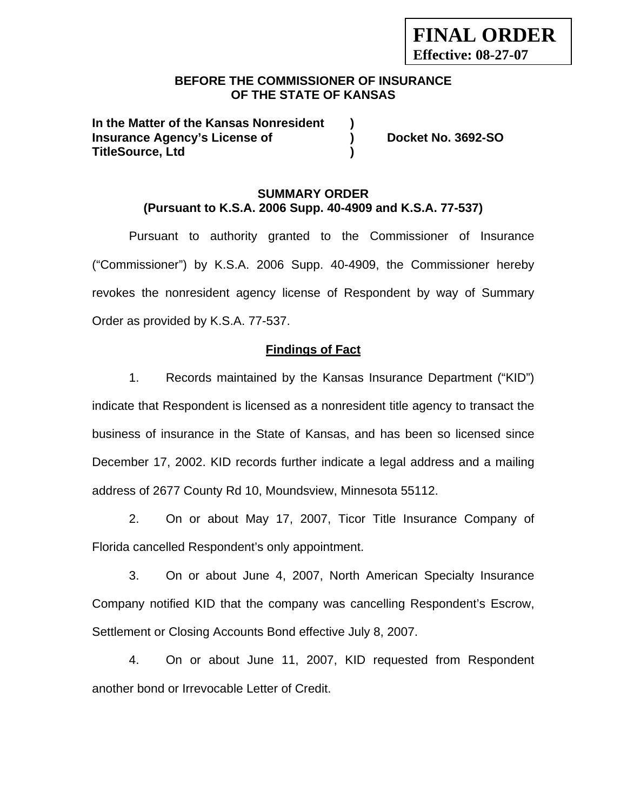## **BEFORE THE COMMISSIONER OF INSURANCE OF THE STATE OF KANSAS**

**In the Matter of the Kansas Nonresident ) Insurance Agency's License of ) Docket No. 3692-SO TitleSource, Ltd )** 

## **SUMMARY ORDER (Pursuant to K.S.A. 2006 Supp. 40-4909 and K.S.A. 77-537)**

Pursuant to authority granted to the Commissioner of Insurance ("Commissioner") by K.S.A. 2006 Supp. 40-4909, the Commissioner hereby revokes the nonresident agency license of Respondent by way of Summary Order as provided by K.S.A. 77-537.

# **Findings of Fact**

1. Records maintained by the Kansas Insurance Department ("KID") indicate that Respondent is licensed as a nonresident title agency to transact the business of insurance in the State of Kansas, and has been so licensed since December 17, 2002. KID records further indicate a legal address and a mailing address of 2677 County Rd 10, Moundsview, Minnesota 55112.

2. On or about May 17, 2007, Ticor Title Insurance Company of Florida cancelled Respondent's only appointment.

3. On or about June 4, 2007, North American Specialty Insurance Company notified KID that the company was cancelling Respondent's Escrow, Settlement or Closing Accounts Bond effective July 8, 2007.

4. On or about June 11, 2007, KID requested from Respondent another bond or Irrevocable Letter of Credit.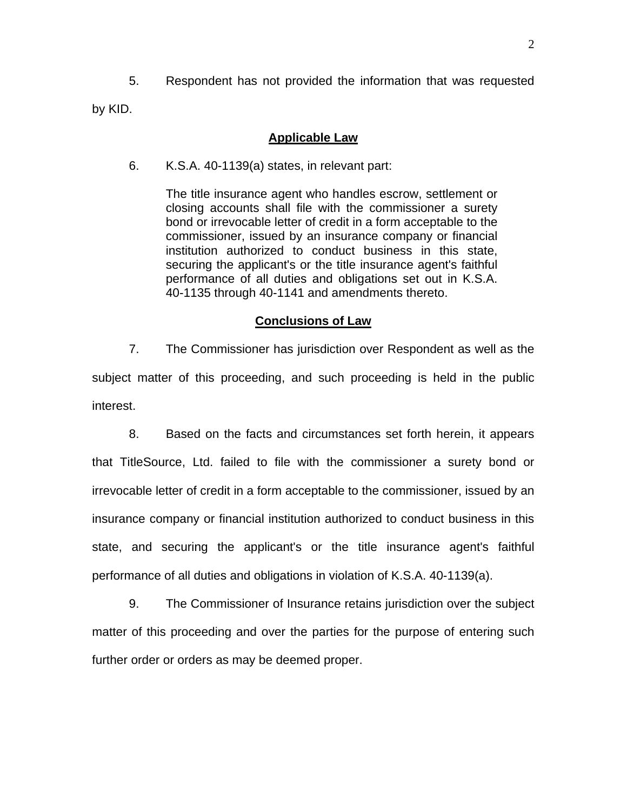5. Respondent has not provided the information that was requested

by KID.

#### **Applicable Law**

6. K.S.A. 40-1139(a) states, in relevant part:

The title insurance agent who handles escrow, settlement or closing accounts shall file with the commissioner a surety bond or irrevocable letter of credit in a form acceptable to the commissioner, issued by an insurance company or financial institution authorized to conduct business in this state, securing the applicant's or the title insurance agent's faithful performance of all duties and obligations set out in K.S.A. 40-1135 through 40-1141 and amendments thereto.

#### **Conclusions of Law**

7. The Commissioner has jurisdiction over Respondent as well as the subject matter of this proceeding, and such proceeding is held in the public interest.

8. Based on the facts and circumstances set forth herein, it appears that TitleSource, Ltd. failed to file with the commissioner a surety bond or irrevocable letter of credit in a form acceptable to the commissioner, issued by an insurance company or financial institution authorized to conduct business in this state, and securing the applicant's or the title insurance agent's faithful performance of all duties and obligations in violation of K.S.A. 40-1139(a).

9. The Commissioner of Insurance retains jurisdiction over the subject matter of this proceeding and over the parties for the purpose of entering such further order or orders as may be deemed proper.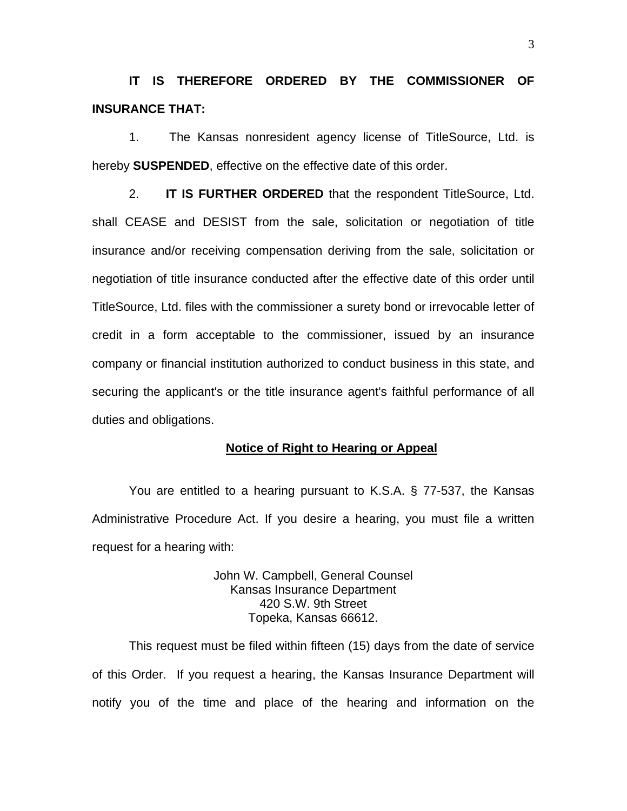**IT IS THEREFORE ORDERED BY THE COMMISSIONER OF INSURANCE THAT:** 

1.The Kansas nonresident agency license of TitleSource, Ltd. is hereby **SUSPENDED**, effective on the effective date of this order.

2. **IT IS FURTHER ORDERED** that the respondent TitleSource, Ltd. shall CEASE and DESIST from the sale, solicitation or negotiation of title insurance and/or receiving compensation deriving from the sale, solicitation or negotiation of title insurance conducted after the effective date of this order until TitleSource, Ltd. files with the commissioner a surety bond or irrevocable letter of credit in a form acceptable to the commissioner, issued by an insurance company or financial institution authorized to conduct business in this state, and securing the applicant's or the title insurance agent's faithful performance of all duties and obligations.

#### **Notice of Right to Hearing or Appeal**

You are entitled to a hearing pursuant to K.S.A. § 77-537, the Kansas Administrative Procedure Act. If you desire a hearing, you must file a written request for a hearing with:

> John W. Campbell, General Counsel Kansas Insurance Department 420 S.W. 9th Street Topeka, Kansas 66612.

This request must be filed within fifteen (15) days from the date of service of this Order. If you request a hearing, the Kansas Insurance Department will notify you of the time and place of the hearing and information on the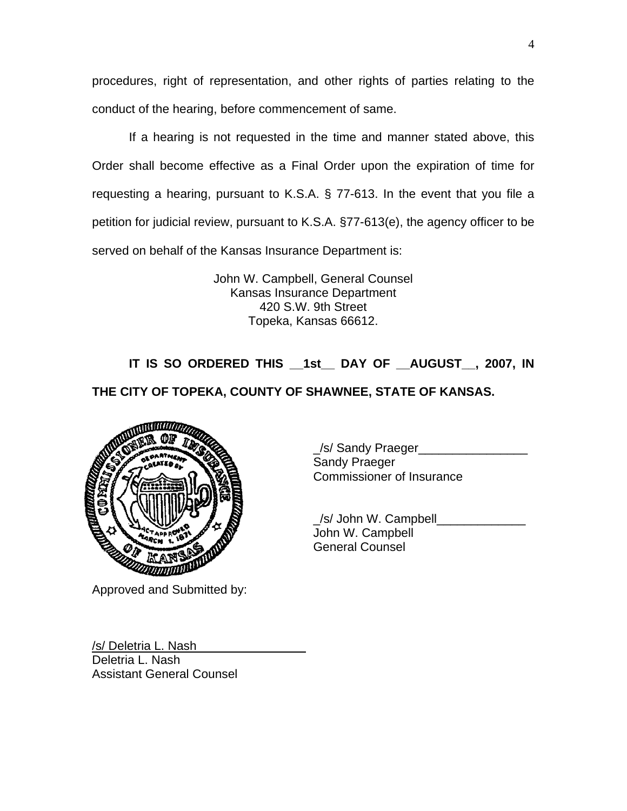procedures, right of representation, and other rights of parties relating to the conduct of the hearing, before commencement of same.

If a hearing is not requested in the time and manner stated above, this Order shall become effective as a Final Order upon the expiration of time for requesting a hearing, pursuant to K.S.A. § 77-613. In the event that you file a petition for judicial review, pursuant to K.S.A. §77-613(e), the agency officer to be served on behalf of the Kansas Insurance Department is:

> John W. Campbell, General Counsel Kansas Insurance Department 420 S.W. 9th Street Topeka, Kansas 66612.

**IT IS SO ORDERED THIS \_\_1st\_\_ DAY OF \_\_AUGUST\_\_, 2007, IN** 

# **THE CITY OF TOPEKA, COUNTY OF SHAWNEE, STATE OF KANSAS.**



Approved and Submitted by:

\_/s/ Sandy Praeger\_\_\_\_\_\_\_\_\_\_\_\_\_\_\_\_ Sandy Praeger Commissioner of Insurance

 \_/s/ John W. Campbell\_\_\_\_\_\_\_\_\_\_\_\_\_ John W. Campbell General Counsel

/s/ Deletria L. Nash\_ Deletria L. Nash Assistant General Counsel